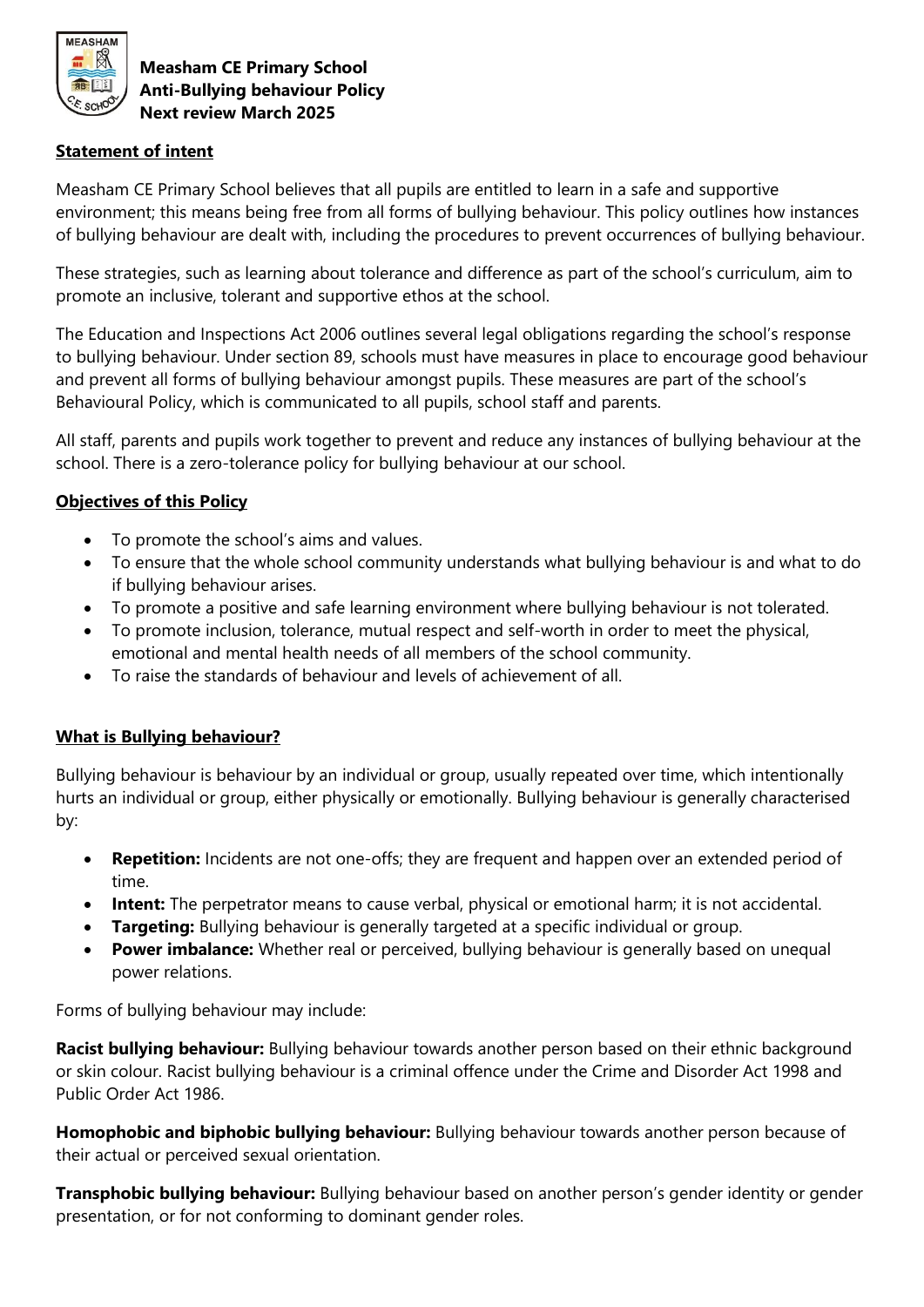

### **Statement of intent**

Measham CE Primary School believes that all pupils are entitled to learn in a safe and supportive environment; this means being free from all forms of bullying behaviour. This policy outlines how instances of bullying behaviour are dealt with, including the procedures to prevent occurrences of bullying behaviour.

These strategies, such as learning about tolerance and difference as part of the school's curriculum, aim to promote an inclusive, tolerant and supportive ethos at the school.

The Education and Inspections Act 2006 outlines several legal obligations regarding the school's response to bullying behaviour. Under section 89, schools must have measures in place to encourage good behaviour and prevent all forms of bullying behaviour amongst pupils. These measures are part of the school's Behavioural Policy, which is communicated to all pupils, school staff and parents.

All staff, parents and pupils work together to prevent and reduce any instances of bullying behaviour at the school. There is a zero-tolerance policy for bullying behaviour at our school.

## **Objectives of this Policy**

- To promote the school's aims and values.
- To ensure that the whole school community understands what bullying behaviour is and what to do if bullying behaviour arises.
- To promote a positive and safe learning environment where bullying behaviour is not tolerated.
- To promote inclusion, tolerance, mutual respect and self-worth in order to meet the physical, emotional and mental health needs of all members of the school community.
- To raise the standards of behaviour and levels of achievement of all.

### **What is Bullying behaviour?**

Bullying behaviour is behaviour by an individual or group, usually repeated over time, which intentionally hurts an individual or group, either physically or emotionally. Bullying behaviour is generally characterised by:

- **Repetition:** Incidents are not one-offs; they are frequent and happen over an extended period of time.
- **Intent:** The perpetrator means to cause verbal, physical or emotional harm; it is not accidental.
- **Targeting:** Bullying behaviour is generally targeted at a specific individual or group.
- **Power imbalance:** Whether real or perceived, bullying behaviour is generally based on unequal power relations.

Forms of bullying behaviour may include:

**Racist bullying behaviour:** Bullying behaviour towards another person based on their ethnic background or skin colour. Racist bullying behaviour is a criminal offence under the Crime and Disorder Act 1998 and Public Order Act 1986.

**Homophobic and biphobic bullying behaviour:** Bullying behaviour towards another person because of their actual or perceived sexual orientation.

**Transphobic bullying behaviour:** Bullying behaviour based on another person's gender identity or gender presentation, or for not conforming to dominant gender roles.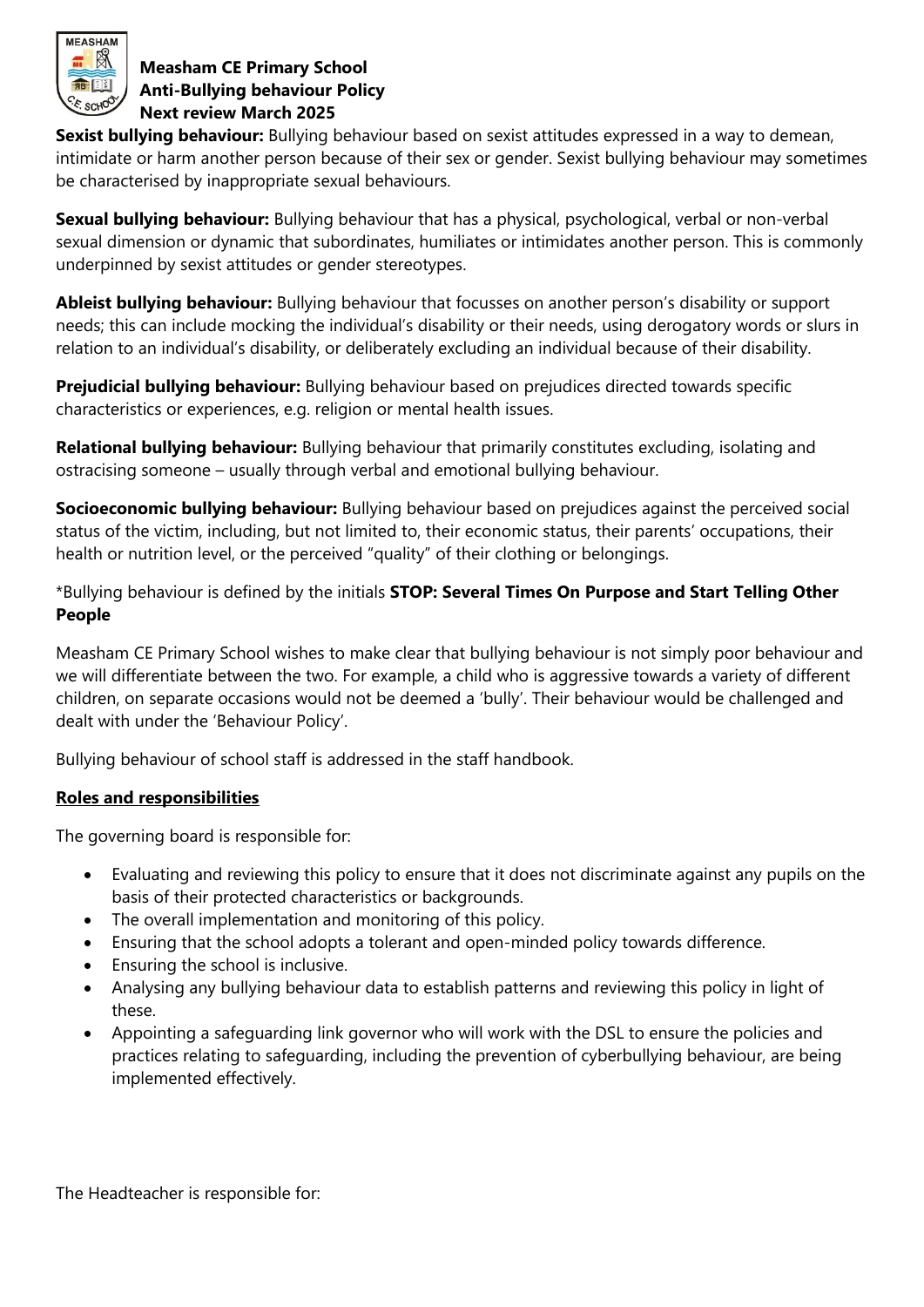

**Sexist bullying behaviour:** Bullying behaviour based on sexist attitudes expressed in a way to demean, intimidate or harm another person because of their sex or gender. Sexist bullying behaviour may sometimes be characterised by inappropriate sexual behaviours.

**Sexual bullying behaviour:** Bullying behaviour that has a physical, psychological, verbal or non-verbal sexual dimension or dynamic that subordinates, humiliates or intimidates another person. This is commonly underpinned by sexist attitudes or gender stereotypes.

**Ableist bullying behaviour:** Bullying behaviour that focusses on another person's disability or support needs; this can include mocking the individual's disability or their needs, using derogatory words or slurs in relation to an individual's disability, or deliberately excluding an individual because of their disability.

**Prejudicial bullying behaviour:** Bullying behaviour based on prejudices directed towards specific characteristics or experiences, e.g. religion or mental health issues.

**Relational bullying behaviour:** Bullying behaviour that primarily constitutes excluding, isolating and ostracising someone – usually through verbal and emotional bullying behaviour.

**Socioeconomic bullying behaviour:** Bullying behaviour based on prejudices against the perceived social status of the victim, including, but not limited to, their economic status, their parents' occupations, their health or nutrition level, or the perceived "quality" of their clothing or belongings.

\*Bullying behaviour is defined by the initials **STOP: Several Times On Purpose and Start Telling Other People** 

Measham CE Primary School wishes to make clear that bullying behaviour is not simply poor behaviour and we will differentiate between the two. For example, a child who is aggressive towards a variety of different children, on separate occasions would not be deemed a 'bully'. Their behaviour would be challenged and dealt with under the 'Behaviour Policy'.

Bullying behaviour of school staff is addressed in the staff handbook.

# **Roles and responsibilities**

The governing board is responsible for:

- Evaluating and reviewing this policy to ensure that it does not discriminate against any pupils on the basis of their protected characteristics or backgrounds.
- The overall implementation and monitoring of this policy.
- Ensuring that the school adopts a tolerant and open-minded policy towards difference.
- Ensuring the school is inclusive.
- Analysing any bullying behaviour data to establish patterns and reviewing this policy in light of these.
- Appointing a safeguarding link governor who will work with the DSL to ensure the policies and practices relating to safeguarding, including the prevention of cyberbullying behaviour, are being implemented effectively.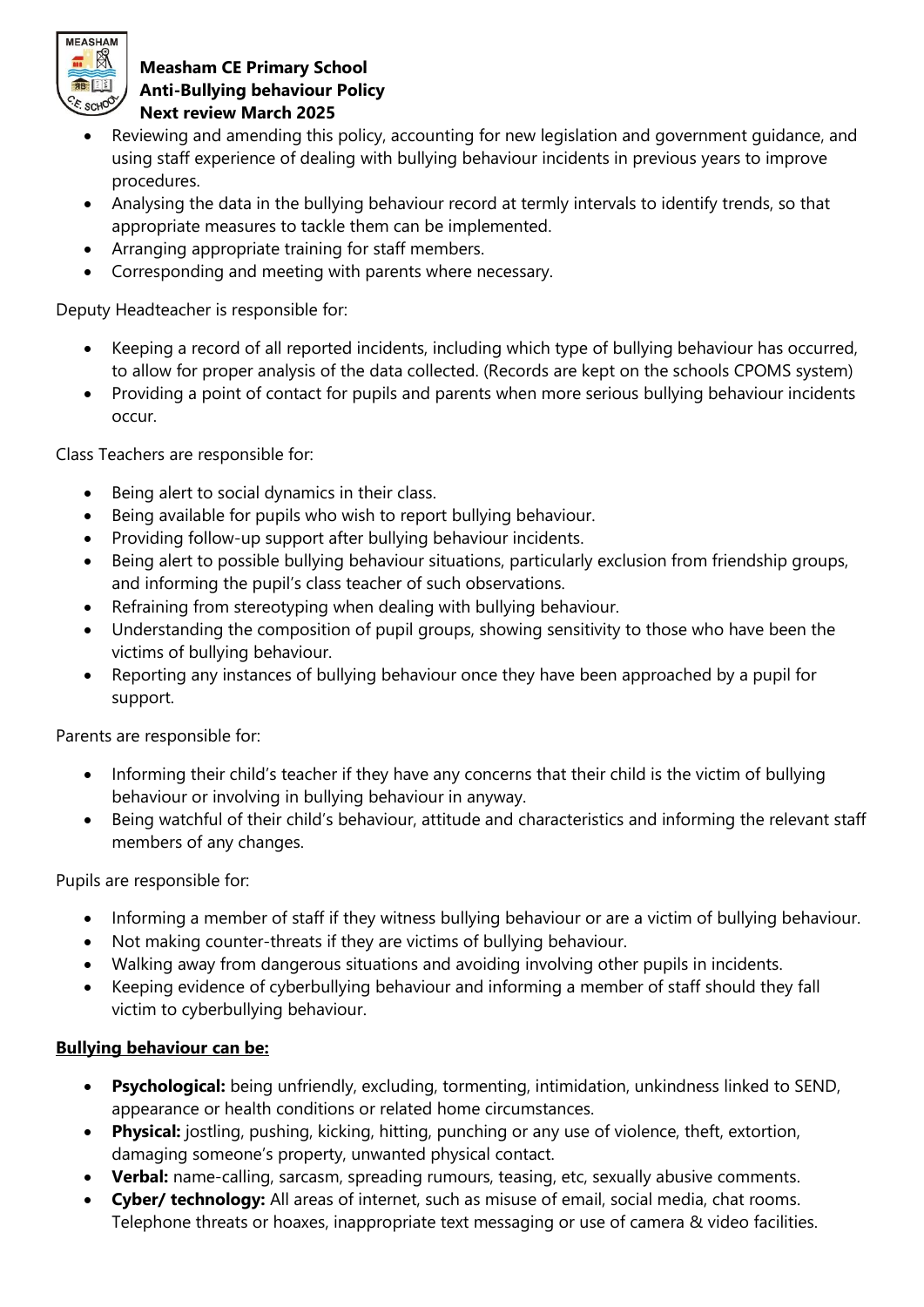

- Reviewing and amending this policy, accounting for new legislation and government guidance, and using staff experience of dealing with bullying behaviour incidents in previous years to improve procedures.
- Analysing the data in the bullying behaviour record at termly intervals to identify trends, so that appropriate measures to tackle them can be implemented.
- Arranging appropriate training for staff members.
- Corresponding and meeting with parents where necessary.

Deputy Headteacher is responsible for:

- Keeping a record of all reported incidents, including which type of bullying behaviour has occurred, to allow for proper analysis of the data collected. (Records are kept on the schools CPOMS system)
- Providing a point of contact for pupils and parents when more serious bullying behaviour incidents occur.

Class Teachers are responsible for:

- Being alert to social dynamics in their class.
- Being available for pupils who wish to report bullying behaviour.
- Providing follow-up support after bullying behaviour incidents.
- Being alert to possible bullying behaviour situations, particularly exclusion from friendship groups, and informing the pupil's class teacher of such observations.
- Refraining from stereotyping when dealing with bullying behaviour.
- Understanding the composition of pupil groups, showing sensitivity to those who have been the victims of bullying behaviour.
- Reporting any instances of bullying behaviour once they have been approached by a pupil for support.

Parents are responsible for:

- Informing their child's teacher if they have any concerns that their child is the victim of bullying behaviour or involving in bullying behaviour in anyway.
- Being watchful of their child's behaviour, attitude and characteristics and informing the relevant staff members of any changes.

Pupils are responsible for:

- Informing a member of staff if they witness bullying behaviour or are a victim of bullying behaviour.
- Not making counter-threats if they are victims of bullying behaviour.
- Walking away from dangerous situations and avoiding involving other pupils in incidents.
- Keeping evidence of cyberbullying behaviour and informing a member of staff should they fall victim to cyberbullying behaviour.

# **Bullying behaviour can be:**

- **Psychological:** being unfriendly, excluding, tormenting, intimidation, unkindness linked to SEND, appearance or health conditions or related home circumstances.
- **Physical:** jostling, pushing, kicking, hitting, punching or any use of violence, theft, extortion, damaging someone's property, unwanted physical contact.
- **Verbal:** name-calling, sarcasm, spreading rumours, teasing, etc, sexually abusive comments.
- **Cyber/ technology:** All areas of internet, such as misuse of email, social media, chat rooms. Telephone threats or hoaxes, inappropriate text messaging or use of camera & video facilities.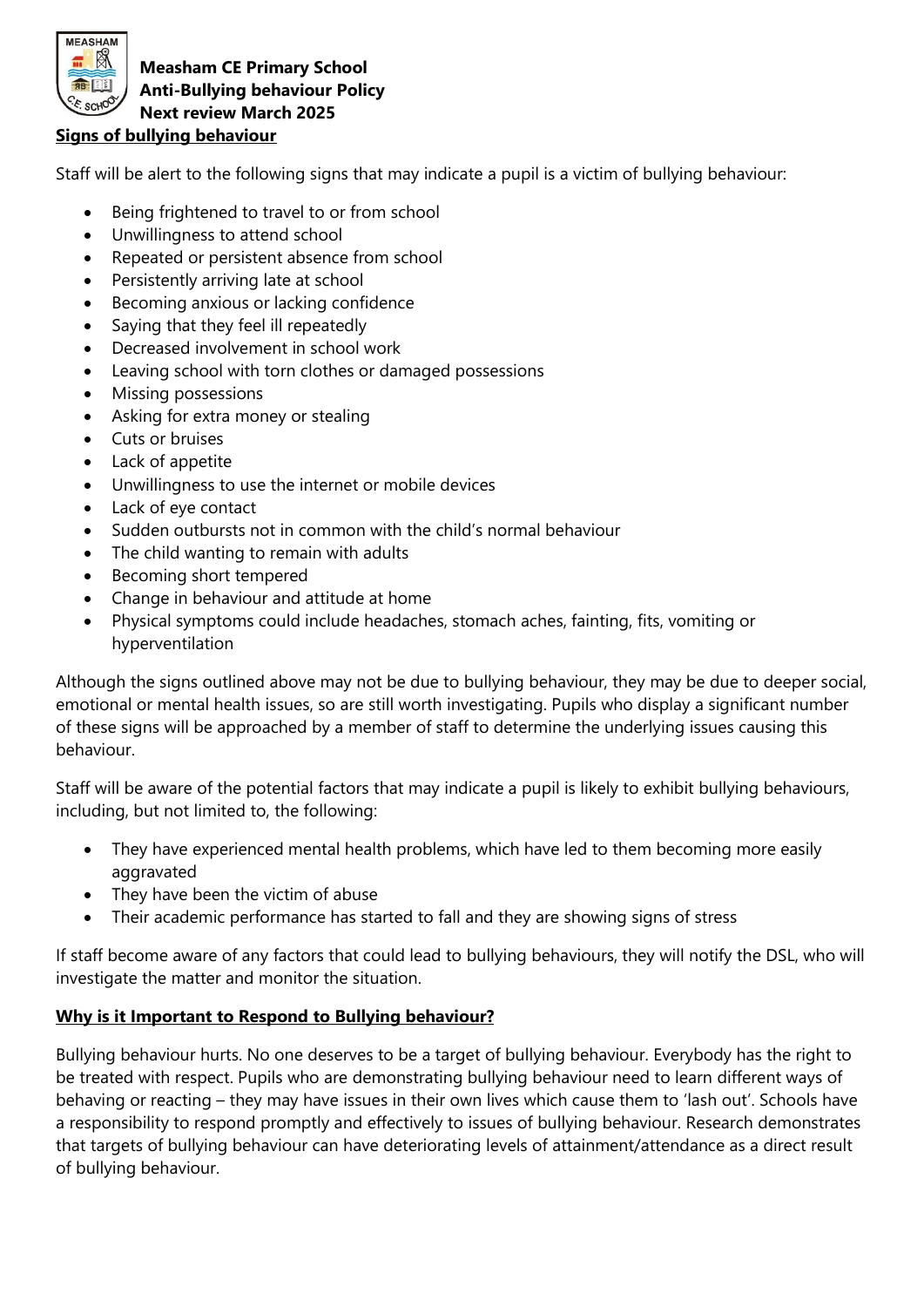

## **Signs of bullying behaviour**

Staff will be alert to the following signs that may indicate a pupil is a victim of bullying behaviour:

- Being frightened to travel to or from school
- Unwillingness to attend school
- Repeated or persistent absence from school
- Persistently arriving late at school
- Becoming anxious or lacking confidence
- Saying that they feel ill repeatedly
- Decreased involvement in school work
- Leaving school with torn clothes or damaged possessions
- Missing possessions
- Asking for extra money or stealing
- Cuts or bruises
- Lack of appetite
- Unwillingness to use the internet or mobile devices
- Lack of eye contact
- Sudden outbursts not in common with the child's normal behaviour
- The child wanting to remain with adults
- Becoming short tempered
- Change in behaviour and attitude at home
- Physical symptoms could include headaches, stomach aches, fainting, fits, vomiting or hyperventilation

Although the signs outlined above may not be due to bullying behaviour, they may be due to deeper social, emotional or mental health issues, so are still worth investigating. Pupils who display a significant number of these signs will be approached by a member of staff to determine the underlying issues causing this behaviour.

Staff will be aware of the potential factors that may indicate a pupil is likely to exhibit bullying behaviours, including, but not limited to, the following:

- They have experienced mental health problems, which have led to them becoming more easily aggravated
- They have been the victim of abuse
- Their academic performance has started to fall and they are showing signs of stress

If staff become aware of any factors that could lead to bullying behaviours, they will notify the DSL, who will investigate the matter and monitor the situation.

### **Why is it Important to Respond to Bullying behaviour?**

Bullying behaviour hurts. No one deserves to be a target of bullying behaviour. Everybody has the right to be treated with respect. Pupils who are demonstrating bullying behaviour need to learn different ways of behaving or reacting – they may have issues in their own lives which cause them to 'lash out'. Schools have a responsibility to respond promptly and effectively to issues of bullying behaviour. Research demonstrates that targets of bullying behaviour can have deteriorating levels of attainment/attendance as a direct result of bullying behaviour.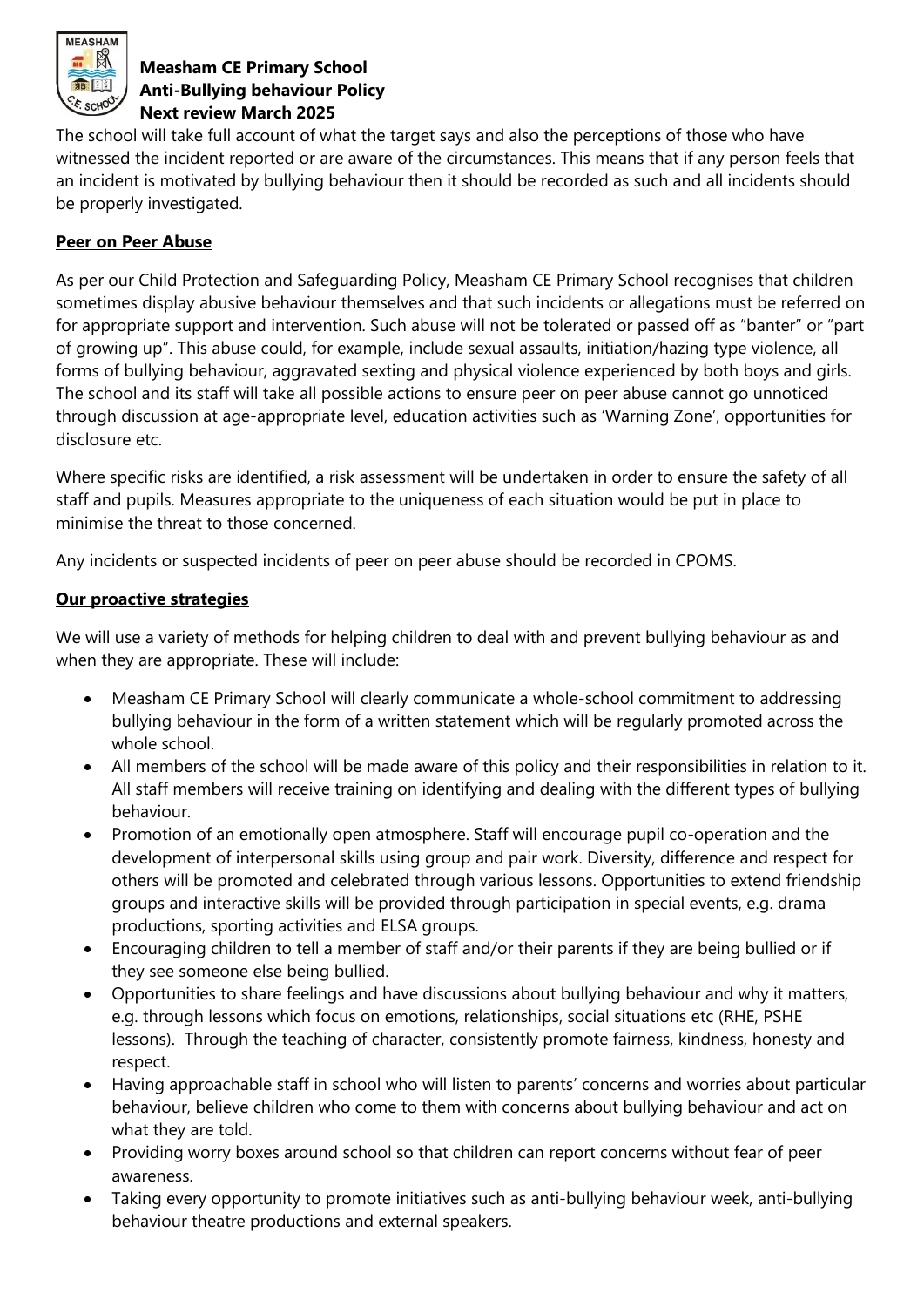

The school will take full account of what the target says and also the perceptions of those who have witnessed the incident reported or are aware of the circumstances. This means that if any person feels that an incident is motivated by bullying behaviour then it should be recorded as such and all incidents should be properly investigated.

# **Peer on Peer Abuse**

As per our Child Protection and Safeguarding Policy, Measham CE Primary School recognises that children sometimes display abusive behaviour themselves and that such incidents or allegations must be referred on for appropriate support and intervention. Such abuse will not be tolerated or passed off as "banter" or "part of growing up". This abuse could, for example, include sexual assaults, initiation/hazing type violence, all forms of bullying behaviour, aggravated sexting and physical violence experienced by both boys and girls. The school and its staff will take all possible actions to ensure peer on peer abuse cannot go unnoticed through discussion at age-appropriate level, education activities such as 'Warning Zone', opportunities for disclosure etc.

Where specific risks are identified, a risk assessment will be undertaken in order to ensure the safety of all staff and pupils. Measures appropriate to the uniqueness of each situation would be put in place to minimise the threat to those concerned.

Any incidents or suspected incidents of peer on peer abuse should be recorded in CPOMS.

# **Our proactive strategies**

We will use a variety of methods for helping children to deal with and prevent bullying behaviour as and when they are appropriate. These will include:

- Measham CE Primary School will clearly communicate a whole-school commitment to addressing bullying behaviour in the form of a written statement which will be regularly promoted across the whole school.
- All members of the school will be made aware of this policy and their responsibilities in relation to it. All staff members will receive training on identifying and dealing with the different types of bullying behaviour.
- Promotion of an emotionally open atmosphere. Staff will encourage pupil co-operation and the development of interpersonal skills using group and pair work. Diversity, difference and respect for others will be promoted and celebrated through various lessons. Opportunities to extend friendship groups and interactive skills will be provided through participation in special events, e.g. drama productions, sporting activities and ELSA groups.
- Encouraging children to tell a member of staff and/or their parents if they are being bullied or if they see someone else being bullied.
- Opportunities to share feelings and have discussions about bullying behaviour and why it matters, e.g. through lessons which focus on emotions, relationships, social situations etc (RHE, PSHE lessons). Through the teaching of character, consistently promote fairness, kindness, honesty and respect.
- Having approachable staff in school who will listen to parents' concerns and worries about particular behaviour, believe children who come to them with concerns about bullying behaviour and act on what they are told.
- Providing worry boxes around school so that children can report concerns without fear of peer awareness.
- Taking every opportunity to promote initiatives such as anti-bullying behaviour week, anti-bullying behaviour theatre productions and external speakers.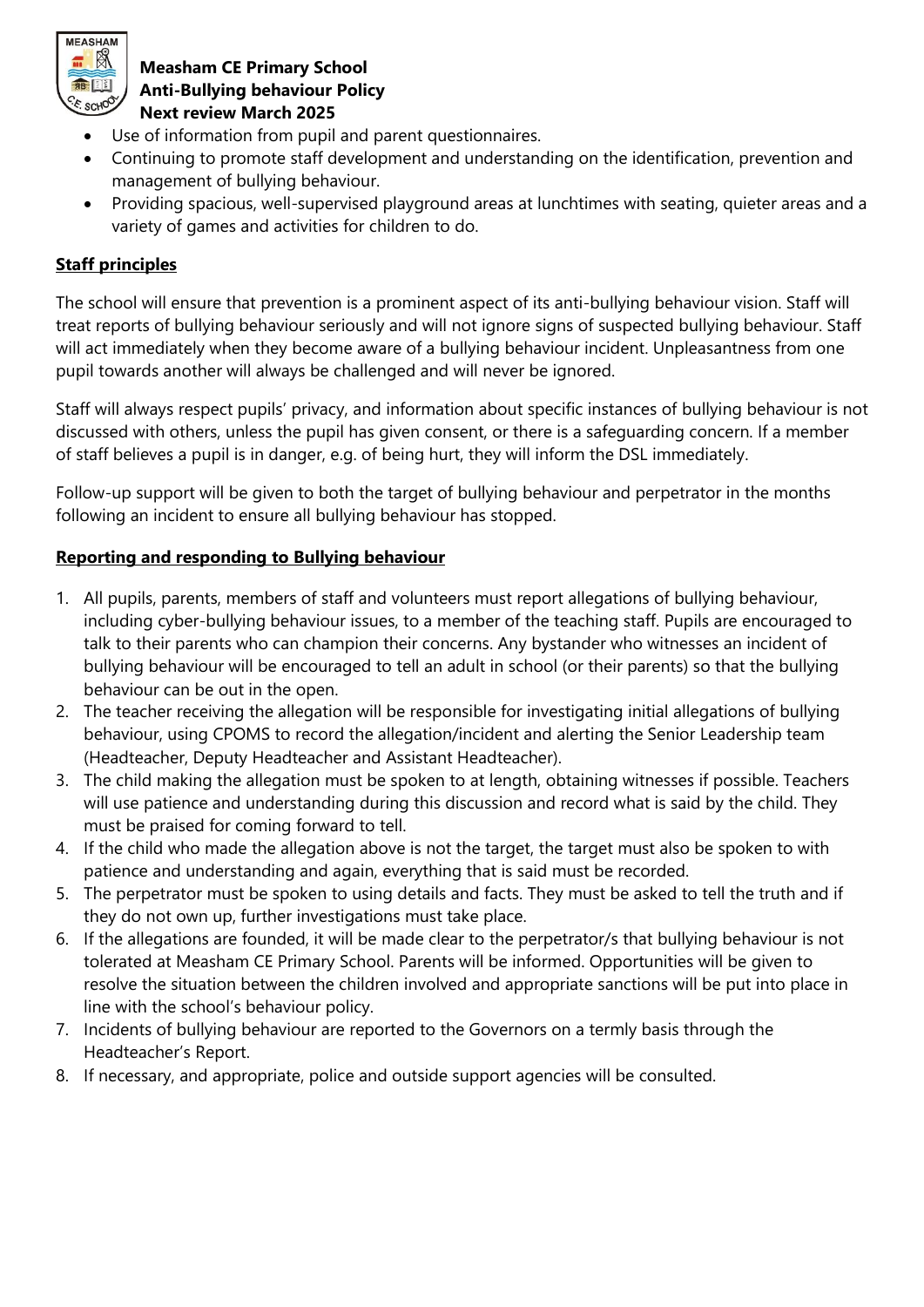

- Use of information from pupil and parent questionnaires.
- Continuing to promote staff development and understanding on the identification, prevention and management of bullying behaviour.
- Providing spacious, well-supervised playground areas at lunchtimes with seating, quieter areas and a variety of games and activities for children to do.

# **Staff principles**

The school will ensure that prevention is a prominent aspect of its anti-bullying behaviour vision. Staff will treat reports of bullying behaviour seriously and will not ignore signs of suspected bullying behaviour. Staff will act immediately when they become aware of a bullying behaviour incident. Unpleasantness from one pupil towards another will always be challenged and will never be ignored.

Staff will always respect pupils' privacy, and information about specific instances of bullying behaviour is not discussed with others, unless the pupil has given consent, or there is a safeguarding concern. If a member of staff believes a pupil is in danger, e.g. of being hurt, they will inform the DSL immediately.

Follow-up support will be given to both the target of bullying behaviour and perpetrator in the months following an incident to ensure all bullying behaviour has stopped.

## **Reporting and responding to Bullying behaviour**

- 1. All pupils, parents, members of staff and volunteers must report allegations of bullying behaviour, including cyber-bullying behaviour issues, to a member of the teaching staff. Pupils are encouraged to talk to their parents who can champion their concerns. Any bystander who witnesses an incident of bullying behaviour will be encouraged to tell an adult in school (or their parents) so that the bullying behaviour can be out in the open.
- 2. The teacher receiving the allegation will be responsible for investigating initial allegations of bullying behaviour, using CPOMS to record the allegation/incident and alerting the Senior Leadership team (Headteacher, Deputy Headteacher and Assistant Headteacher).
- 3. The child making the allegation must be spoken to at length, obtaining witnesses if possible. Teachers will use patience and understanding during this discussion and record what is said by the child. They must be praised for coming forward to tell.
- 4. If the child who made the allegation above is not the target, the target must also be spoken to with patience and understanding and again, everything that is said must be recorded.
- 5. The perpetrator must be spoken to using details and facts. They must be asked to tell the truth and if they do not own up, further investigations must take place.
- 6. If the allegations are founded, it will be made clear to the perpetrator/s that bullying behaviour is not tolerated at Measham CE Primary School. Parents will be informed. Opportunities will be given to resolve the situation between the children involved and appropriate sanctions will be put into place in line with the school's behaviour policy.
- 7. Incidents of bullying behaviour are reported to the Governors on a termly basis through the Headteacher's Report.
- 8. If necessary, and appropriate, police and outside support agencies will be consulted.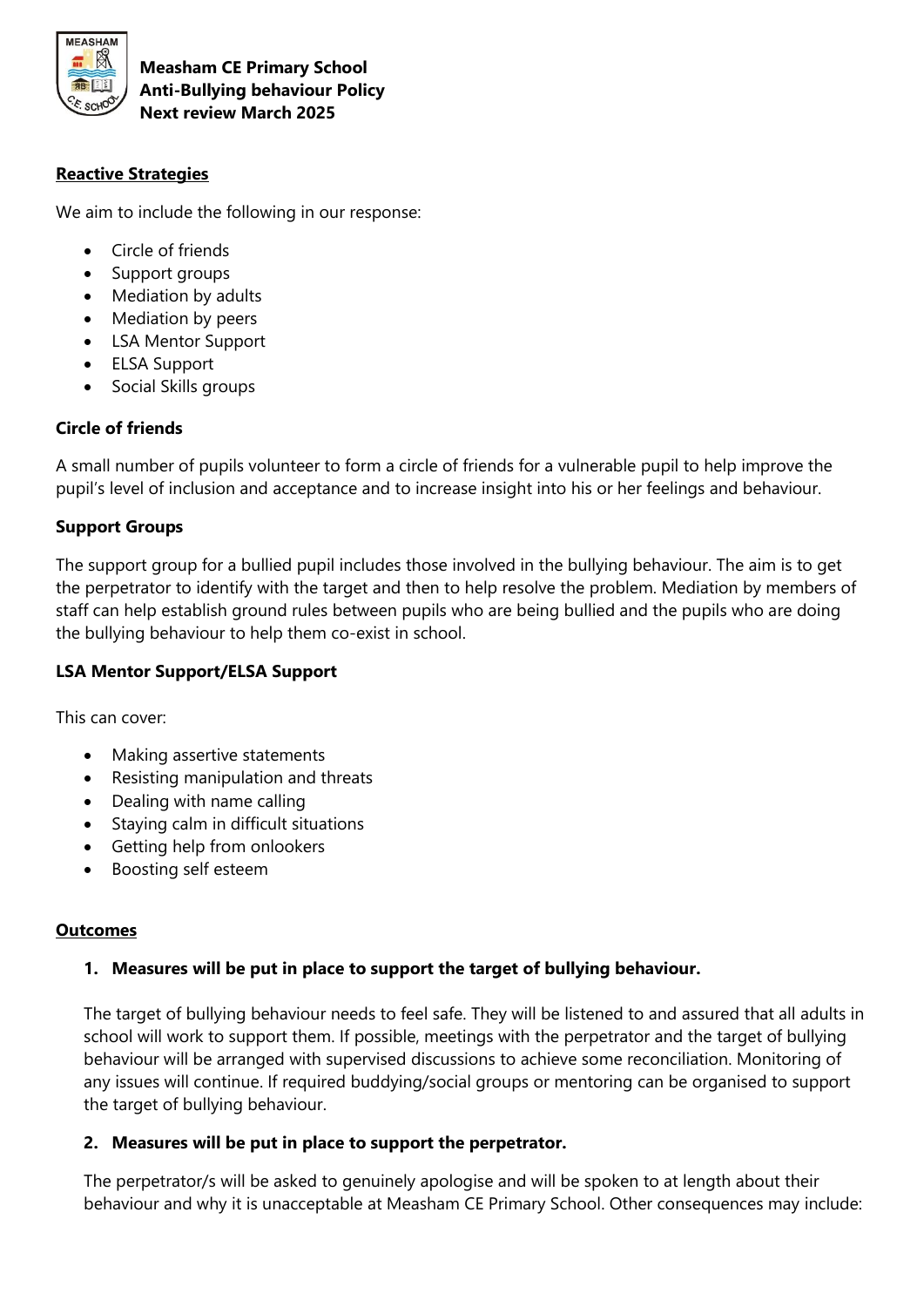

## **Reactive Strategies**

We aim to include the following in our response:

- Circle of friends
- Support groups
- Mediation by adults
- Mediation by peers
- LSA Mentor Support
- ELSA Support
- Social Skills groups

#### **Circle of friends**

A small number of pupils volunteer to form a circle of friends for a vulnerable pupil to help improve the pupil's level of inclusion and acceptance and to increase insight into his or her feelings and behaviour.

### **Support Groups**

The support group for a bullied pupil includes those involved in the bullying behaviour. The aim is to get the perpetrator to identify with the target and then to help resolve the problem. Mediation by members of staff can help establish ground rules between pupils who are being bullied and the pupils who are doing the bullying behaviour to help them co-exist in school.

### **LSA Mentor Support/ELSA Support**

This can cover:

- Making assertive statements
- Resisting manipulation and threats
- Dealing with name calling
- Staying calm in difficult situations
- Getting help from onlookers
- Boosting self esteem

#### **Outcomes**

### **1. Measures will be put in place to support the target of bullying behaviour.**

The target of bullying behaviour needs to feel safe. They will be listened to and assured that all adults in school will work to support them. If possible, meetings with the perpetrator and the target of bullying behaviour will be arranged with supervised discussions to achieve some reconciliation. Monitoring of any issues will continue. If required buddying/social groups or mentoring can be organised to support the target of bullying behaviour.

#### **2. Measures will be put in place to support the perpetrator.**

The perpetrator/s will be asked to genuinely apologise and will be spoken to at length about their behaviour and why it is unacceptable at Measham CE Primary School. Other consequences may include: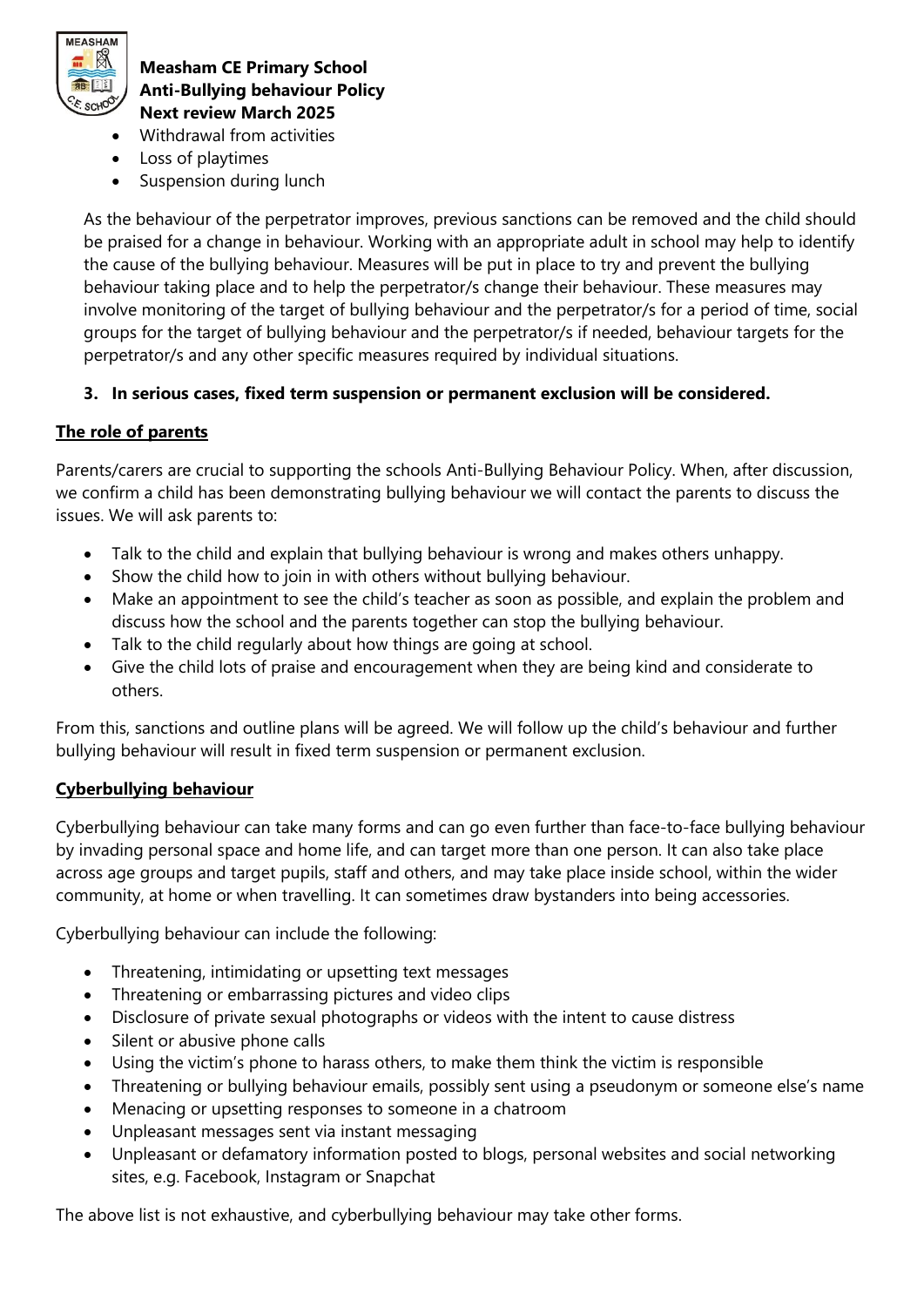

- Withdrawal from activities
- Loss of playtimes
- Suspension during lunch

As the behaviour of the perpetrator improves, previous sanctions can be removed and the child should be praised for a change in behaviour. Working with an appropriate adult in school may help to identify the cause of the bullying behaviour. Measures will be put in place to try and prevent the bullying behaviour taking place and to help the perpetrator/s change their behaviour. These measures may involve monitoring of the target of bullying behaviour and the perpetrator/s for a period of time, social groups for the target of bullying behaviour and the perpetrator/s if needed, behaviour targets for the perpetrator/s and any other specific measures required by individual situations.

## **3. In serious cases, fixed term suspension or permanent exclusion will be considered.**

## **The role of parents**

Parents/carers are crucial to supporting the schools Anti-Bullying Behaviour Policy. When, after discussion, we confirm a child has been demonstrating bullying behaviour we will contact the parents to discuss the issues. We will ask parents to:

- Talk to the child and explain that bullying behaviour is wrong and makes others unhappy.
- Show the child how to join in with others without bullying behaviour.
- Make an appointment to see the child's teacher as soon as possible, and explain the problem and discuss how the school and the parents together can stop the bullying behaviour.
- Talk to the child regularly about how things are going at school.
- Give the child lots of praise and encouragement when they are being kind and considerate to others.

From this, sanctions and outline plans will be agreed. We will follow up the child's behaviour and further bullying behaviour will result in fixed term suspension or permanent exclusion.

### **Cyberbullying behaviour**

Cyberbullying behaviour can take many forms and can go even further than face-to-face bullying behaviour by invading personal space and home life, and can target more than one person. It can also take place across age groups and target pupils, staff and others, and may take place inside school, within the wider community, at home or when travelling. It can sometimes draw bystanders into being accessories.

Cyberbullying behaviour can include the following:

- Threatening, intimidating or upsetting text messages
- Threatening or embarrassing pictures and video clips
- Disclosure of private sexual photographs or videos with the intent to cause distress
- Silent or abusive phone calls
- Using the victim's phone to harass others, to make them think the victim is responsible
- Threatening or bullying behaviour emails, possibly sent using a pseudonym or someone else's name
- Menacing or upsetting responses to someone in a chatroom
- Unpleasant messages sent via instant messaging
- Unpleasant or defamatory information posted to blogs, personal websites and social networking sites, e.g. Facebook, Instagram or Snapchat

The above list is not exhaustive, and cyberbullying behaviour may take other forms.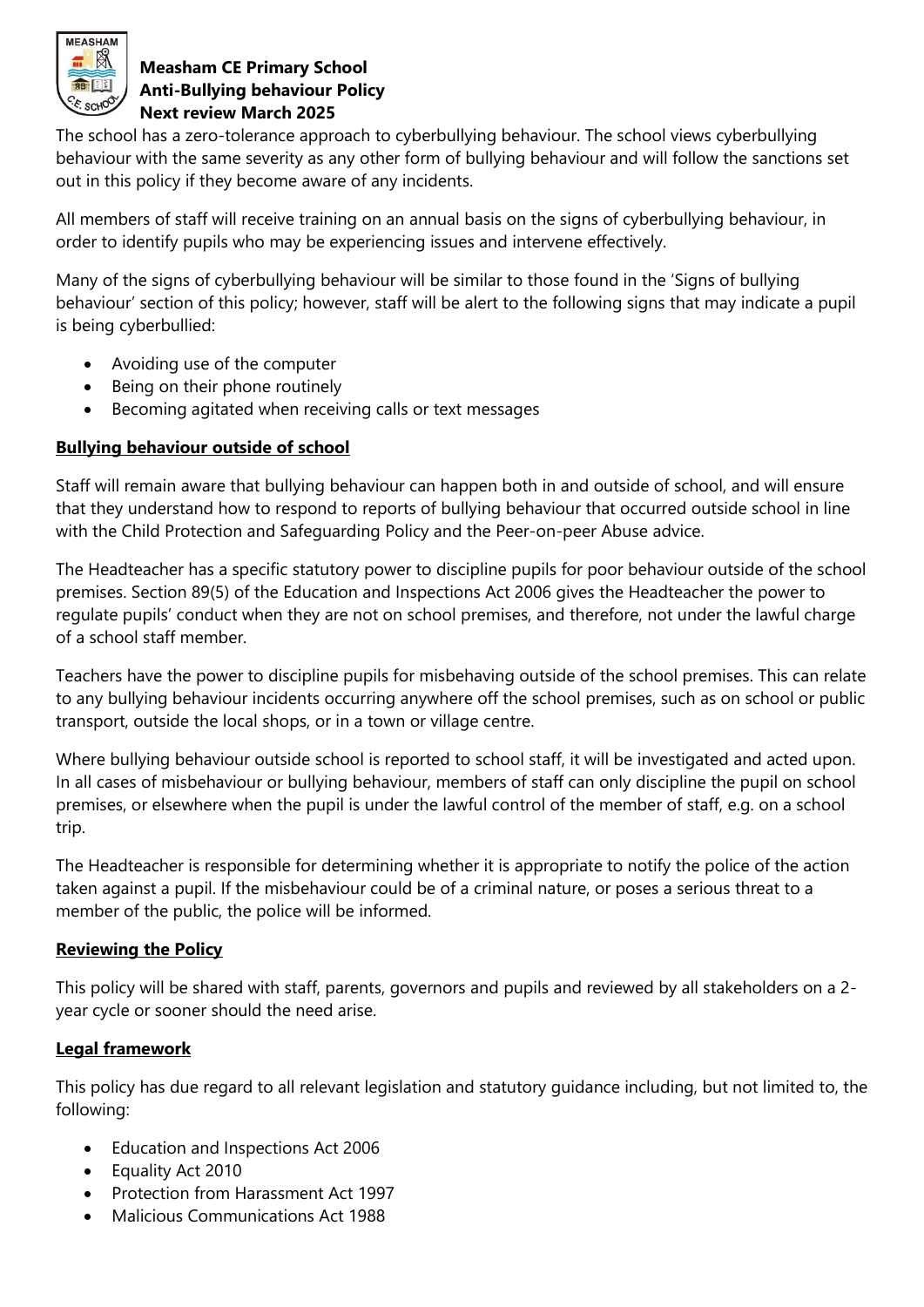

The school has a zero-tolerance approach to cyberbullying behaviour. The school views cyberbullying behaviour with the same severity as any other form of bullying behaviour and will follow the sanctions set out in this policy if they become aware of any incidents.

All members of staff will receive training on an annual basis on the signs of cyberbullying behaviour, in order to identify pupils who may be experiencing issues and intervene effectively.

Many of the signs of cyberbullying behaviour will be similar to those found in the 'Signs of bullying behaviour' section of this policy; however, staff will be alert to the following signs that may indicate a pupil is being cyberbullied:

- Avoiding use of the computer
- Being on their phone routinely
- Becoming agitated when receiving calls or text messages

## **Bullying behaviour outside of school**

Staff will remain aware that bullying behaviour can happen both in and outside of school, and will ensure that they understand how to respond to reports of bullying behaviour that occurred outside school in line with the Child Protection and Safeguarding Policy and the Peer-on-peer Abuse advice.

The Headteacher has a specific statutory power to discipline pupils for poor behaviour outside of the school premises. Section 89(5) of the Education and Inspections Act 2006 gives the Headteacher the power to regulate pupils' conduct when they are not on school premises, and therefore, not under the lawful charge of a school staff member.

Teachers have the power to discipline pupils for misbehaving outside of the school premises. This can relate to any bullying behaviour incidents occurring anywhere off the school premises, such as on school or public transport, outside the local shops, or in a town or village centre.

Where bullying behaviour outside school is reported to school staff, it will be investigated and acted upon. In all cases of misbehaviour or bullying behaviour, members of staff can only discipline the pupil on school premises, or elsewhere when the pupil is under the lawful control of the member of staff, e.g. on a school trip.

The Headteacher is responsible for determining whether it is appropriate to notify the police of the action taken against a pupil. If the misbehaviour could be of a criminal nature, or poses a serious threat to a member of the public, the police will be informed.

### **Reviewing the Policy**

This policy will be shared with staff, parents, governors and pupils and reviewed by all stakeholders on a 2 year cycle or sooner should the need arise.

# **Legal framework**

This policy has due regard to all relevant legislation and statutory guidance including, but not limited to, the following:

- Education and Inspections Act 2006
- Equality Act 2010
- Protection from Harassment Act 1997
- Malicious Communications Act 1988